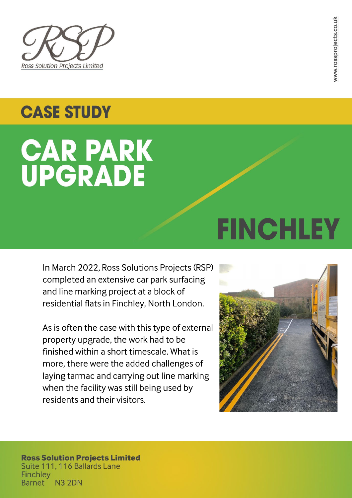

# **CASE STUDY**

# **CAR PARK<br>UPGRADE**

# In March 2022, Ross Solutions Projects (RSP) completed an extensive car park surfacing and line marking project at a block of residential flats in Finchley, North London.

As is often the case with this type of external property upgrade, the work had to be finished within a short timescale. What is more, there were the added challenges of laying tarmac and carrying out line marking when the facility was still being used by residents and their visitors.

**FINCHLEY** 



# **Ross Solution Projects Limited** Suite 111, 116 Ballards Lane **Finchley N3 2DN Barnet**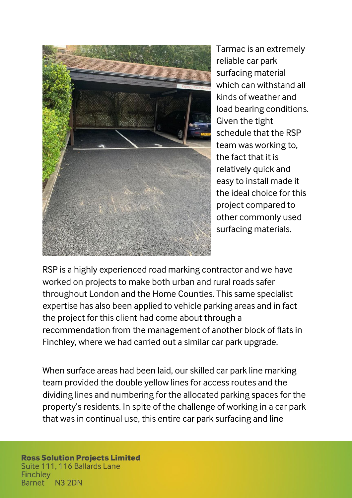

Tarmac is an extremely reliable car park surfacing material which can withstand all kinds of weather and load bearing conditions. Given the tight schedule that the RSP team was working to, the fact that it is relatively quick and easy to install made it the ideal choice for this project compared to other commonly used surfacing materials.

RSP is a highly experienced road marking contractor and we have worked on projects to make both urban and rural roads safer throughout London and the Home Counties. This same specialist expertise has also been applied to vehicle parking areas and in fact the project for this client had come about through a recommendation from the management of another block of flats in Finchley, where we had carried out a similar car park upgrade.

When surface areas had been laid, our skilled car park line marking team provided the double yellow lines for access routes and the dividing lines and numbering for the allocated parking spaces for the property's residents. In spite of the challenge of working in a car park that was in continual use, this entire car park surfacing and line

## **Ross Solution Projects Limited** Suite 111, 116 Ballards Lane **Finchley N3 2DN Barnet**